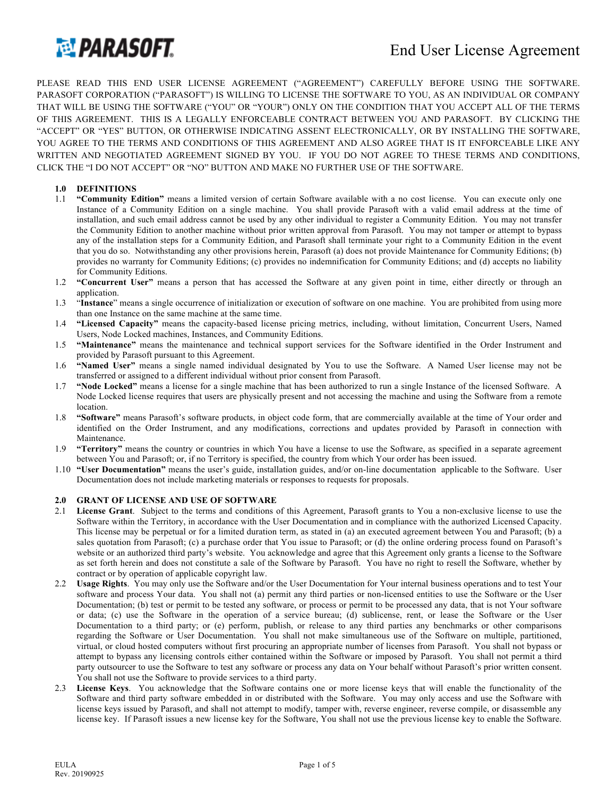

PLEASE READ THIS END USER LICENSE AGREEMENT ("AGREEMENT") CAREFULLY BEFORE USING THE SOFTWARE. PARASOFT CORPORATION ("PARASOFT") IS WILLING TO LICENSE THE SOFTWARE TO YOU, AS AN INDIVIDUAL OR COMPANY THAT WILL BE USING THE SOFTWARE ("YOU" OR "YOUR") ONLY ON THE CONDITION THAT YOU ACCEPT ALL OF THE TERMS OF THIS AGREEMENT. THIS IS A LEGALLY ENFORCEABLE CONTRACT BETWEEN YOU AND PARASOFT. BY CLICKING THE "ACCEPT" OR "YES" BUTTON, OR OTHERWISE INDICATING ASSENT ELECTRONICALLY, OR BY INSTALLING THE SOFTWARE, YOU AGREE TO THE TERMS AND CONDITIONS OF THIS AGREEMENT AND ALSO AGREE THAT IS IT ENFORCEABLE LIKE ANY WRITTEN AND NEGOTIATED AGREEMENT SIGNED BY YOU. IF YOU DO NOT AGREE TO THESE TERMS AND CONDITIONS, CLICK THE "I DO NOT ACCEPT" OR "NO" BUTTON AND MAKE NO FURTHER USE OF THE SOFTWARE.

# **1.0 DEFINITIONS**

- 1.1 **"Community Edition"** means a limited version of certain Software available with a no cost license. You can execute only one Instance of a Community Edition on a single machine. You shall provide Parasoft with a valid email address at the time of installation, and such email address cannot be used by any other individual to register a Community Edition. You may not transfer the Community Edition to another machine without prior written approval from Parasoft. You may not tamper or attempt to bypass any of the installation steps for a Community Edition, and Parasoft shall terminate your right to a Community Edition in the event that you do so. Notwithstanding any other provisions herein, Parasoft (a) does not provide Maintenance for Community Editions; (b) provides no warranty for Community Editions; (c) provides no indemnification for Community Editions; and (d) accepts no liability for Community Editions.
- 1.2 **"Concurrent User"** means a person that has accessed the Software at any given point in time, either directly or through an application.
- 1.3 "**Instance**" means a single occurrence of initialization or execution of software on one machine. You are prohibited from using more than one Instance on the same machine at the same time.
- 1.4 **"Licensed Capacity"** means the capacity-based license pricing metrics, including, without limitation, Concurrent Users, Named Users, Node Locked machines, Instances, and Community Editions.
- 1.5 **"Maintenance"** means the maintenance and technical support services for the Software identified in the Order Instrument and provided by Parasoft pursuant to this Agreement.
- 1.6 **"Named User"** means a single named individual designated by You to use the Software. A Named User license may not be transferred or assigned to a different individual without prior consent from Parasoft.
- 1.7 **"Node Locked"** means a license for a single machine that has been authorized to run a single Instance of the licensed Software. A Node Locked license requires that users are physically present and not accessing the machine and using the Software from a remote location.
- 1.8 **"Software"** means Parasoft's software products, in object code form, that are commercially available at the time of Your order and identified on the Order Instrument, and any modifications, corrections and updates provided by Parasoft in connection with Maintenance.
- 1.9 **"Territory"** means the country or countries in which You have a license to use the Software, as specified in a separate agreement between You and Parasoft; or, if no Territory is specified, the country from which Your order has been issued.
- 1.10 **"User Documentation"** means the user's guide, installation guides, and/or on-line documentation applicable to the Software. User Documentation does not include marketing materials or responses to requests for proposals.

### **2.0 GRANT OF LICENSE AND USE OF SOFTWARE**

- 2.1 **License Grant**. Subject to the terms and conditions of this Agreement, Parasoft grants to You a non-exclusive license to use the Software within the Territory, in accordance with the User Documentation and in compliance with the authorized Licensed Capacity. This license may be perpetual or for a limited duration term, as stated in (a) an executed agreement between You and Parasoft; (b) a sales quotation from Parasoft; (c) a purchase order that You issue to Parasoft; or (d) the online ordering process found on Parasoft's website or an authorized third party's website. You acknowledge and agree that this Agreement only grants a license to the Software as set forth herein and does not constitute a sale of the Software by Parasoft. You have no right to resell the Software, whether by contract or by operation of applicable copyright law.
- 2.2 **Usage Rights**. You may only use the Software and/or the User Documentation for Your internal business operations and to test Your software and process Your data. You shall not (a) permit any third parties or non-licensed entities to use the Software or the User Documentation; (b) test or permit to be tested any software, or process or permit to be processed any data, that is not Your software or data; (c) use the Software in the operation of a service bureau; (d) sublicense, rent, or lease the Software or the User Documentation to a third party; or (e) perform, publish, or release to any third parties any benchmarks or other comparisons regarding the Software or User Documentation. You shall not make simultaneous use of the Software on multiple, partitioned, virtual, or cloud hosted computers without first procuring an appropriate number of licenses from Parasoft. You shall not bypass or attempt to bypass any licensing controls either contained within the Software or imposed by Parasoft. You shall not permit a third party outsourcer to use the Software to test any software or process any data on Your behalf without Parasoft's prior written consent. You shall not use the Software to provide services to a third party.
- 2.3 **License Keys**. You acknowledge that the Software contains one or more license keys that will enable the functionality of the Software and third party software embedded in or distributed with the Software. You may only access and use the Software with license keys issued by Parasoft, and shall not attempt to modify, tamper with, reverse engineer, reverse compile, or disassemble any license key. If Parasoft issues a new license key for the Software, You shall not use the previous license key to enable the Software.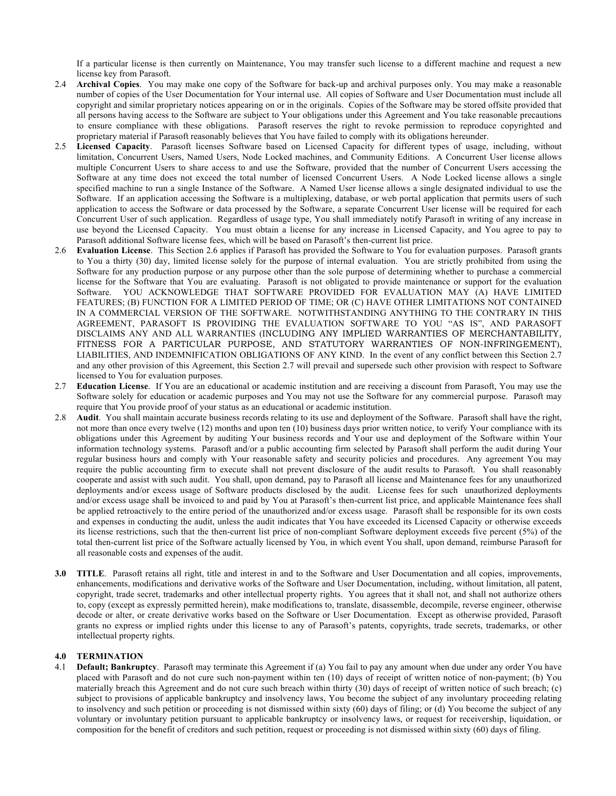If a particular license is then currently on Maintenance, You may transfer such license to a different machine and request a new license key from Parasoft.

- 2.4 **Archival Copies**.You may make one copy of the Software for back-up and archival purposes only. You may make a reasonable number of copies of the User Documentation for Your internal use. All copies of Software and User Documentation must include all copyright and similar proprietary notices appearing on or in the originals. Copies of the Software may be stored offsite provided that all persons having access to the Software are subject to Your obligations under this Agreement and You take reasonable precautions to ensure compliance with these obligations. Parasoft reserves the right to revoke permission to reproduce copyrighted and proprietary material if Parasoft reasonably believes that You have failed to comply with its obligations hereunder.
- 2.5 **Licensed Capacity**. Parasoft licenses Software based on Licensed Capacity for different types of usage, including, without limitation, Concurrent Users, Named Users, Node Locked machines, and Community Editions. A Concurrent User license allows multiple Concurrent Users to share access to and use the Software, provided that the number of Concurrent Users accessing the Software at any time does not exceed the total number of licensed Concurrent Users. A Node Locked license allows a single specified machine to run a single Instance of the Software. A Named User license allows a single designated individual to use the Software. If an application accessing the Software is a multiplexing, database, or web portal application that permits users of such application to access the Software or data processed by the Software, a separate Concurrent User license will be required for each Concurrent User of such application. Regardless of usage type, You shall immediately notify Parasoft in writing of any increase in use beyond the Licensed Capacity. You must obtain a license for any increase in Licensed Capacity, and You agree to pay to Parasoft additional Software license fees, which will be based on Parasoft's then-current list price.
- 2.6 **Evaluation License**. This Section 2.6 applies if Parasoft has provided the Software to You for evaluation purposes. Parasoft grants to You a thirty (30) day, limited license solely for the purpose of internal evaluation. You are strictly prohibited from using the Software for any production purpose or any purpose other than the sole purpose of determining whether to purchase a commercial license for the Software that You are evaluating. Parasoft is not obligated to provide maintenance or support for the evaluation Software. YOU ACKNOWLEDGE THAT SOFTWARE PROVIDED FOR EVALUATION MAY (A) HAVE LIMITED FEATURES; (B) FUNCTION FOR A LIMITED PERIOD OF TIME; OR (C) HAVE OTHER LIMITATIONS NOT CONTAINED IN A COMMERCIAL VERSION OF THE SOFTWARE. NOTWITHSTANDING ANYTHING TO THE CONTRARY IN THIS AGREEMENT, PARASOFT IS PROVIDING THE EVALUATION SOFTWARE TO YOU "AS IS", AND PARASOFT DISCLAIMS ANY AND ALL WARRANTIES (INCLUDING ANY IMPLIED WARRANTIES OF MERCHANTABILITY, FITNESS FOR A PARTICULAR PURPOSE, AND STATUTORY WARRANTIES OF NON-INFRINGEMENT), LIABILITIES, AND INDEMNIFICATION OBLIGATIONS OF ANY KIND. In the event of any conflict between this Section 2.7 and any other provision of this Agreement, this Section 2.7 will prevail and supersede such other provision with respect to Software licensed to You for evaluation purposes.
- 2.7 **Education License**. If You are an educational or academic institution and are receiving a discount from Parasoft, You may use the Software solely for education or academic purposes and You may not use the Software for any commercial purpose. Parasoft may require that You provide proof of your status as an educational or academic institution.
- 2.8 **Audit**. You shall maintain accurate business records relating to its use and deployment of the Software. Parasoft shall have the right, not more than once every twelve (12) months and upon ten (10) business days prior written notice, to verify Your compliance with its obligations under this Agreement by auditing Your business records and Your use and deployment of the Software within Your information technology systems. Parasoft and/or a public accounting firm selected by Parasoft shall perform the audit during Your regular business hours and comply with Your reasonable safety and security policies and procedures. Any agreement You may require the public accounting firm to execute shall not prevent disclosure of the audit results to Parasoft. You shall reasonably cooperate and assist with such audit. You shall, upon demand, pay to Parasoft all license and Maintenance fees for any unauthorized deployments and/or excess usage of Software products disclosed by the audit. License fees for such unauthorized deployments and/or excess usage shall be invoiced to and paid by You at Parasoft's then-current list price, and applicable Maintenance fees shall be applied retroactively to the entire period of the unauthorized and/or excess usage. Parasoft shall be responsible for its own costs and expenses in conducting the audit, unless the audit indicates that You have exceeded its Licensed Capacity or otherwise exceeds its license restrictions, such that the then-current list price of non-compliant Software deployment exceeds five percent (5%) of the total then-current list price of the Software actually licensed by You, in which event You shall, upon demand, reimburse Parasoft for all reasonable costs and expenses of the audit.
- **3.0 TITLE**. Parasoft retains all right, title and interest in and to the Software and User Documentation and all copies, improvements, enhancements, modifications and derivative works of the Software and User Documentation, including, without limitation, all patent, copyright, trade secret, trademarks and other intellectual property rights. You agrees that it shall not, and shall not authorize others to, copy (except as expressly permitted herein), make modifications to, translate, disassemble, decompile, reverse engineer, otherwise decode or alter, or create derivative works based on the Software or User Documentation. Except as otherwise provided, Parasoft grants no express or implied rights under this license to any of Parasoft's patents, copyrights, trade secrets, trademarks, or other intellectual property rights.

# **4.0 TERMINATION**

4.1 **Default; Bankruptcy**. Parasoft may terminate this Agreement if (a) You fail to pay any amount when due under any order You have placed with Parasoft and do not cure such non-payment within ten (10) days of receipt of written notice of non-payment; (b) You materially breach this Agreement and do not cure such breach within thirty (30) days of receipt of written notice of such breach; (c) subject to provisions of applicable bankruptcy and insolvency laws, You become the subject of any involuntary proceeding relating to insolvency and such petition or proceeding is not dismissed within sixty (60) days of filing; or (d) You become the subject of any voluntary or involuntary petition pursuant to applicable bankruptcy or insolvency laws, or request for receivership, liquidation, or composition for the benefit of creditors and such petition, request or proceeding is not dismissed within sixty (60) days of filing.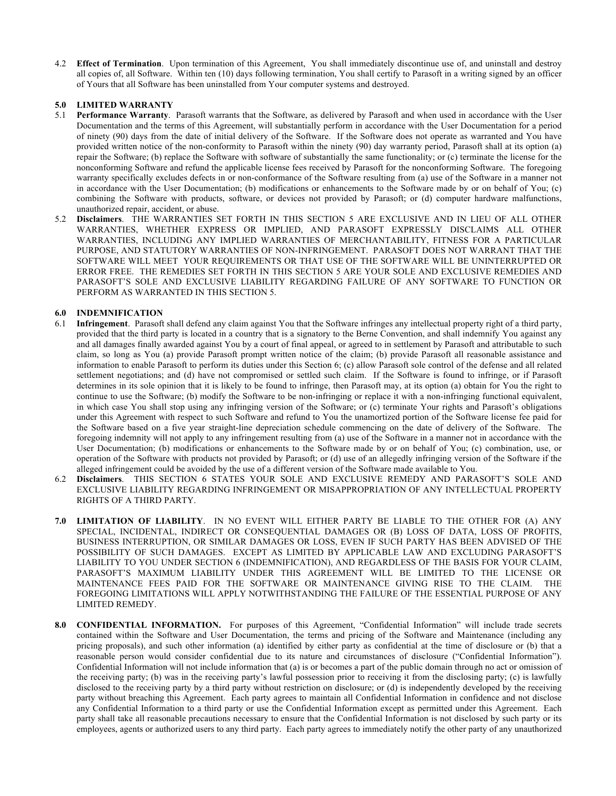4.2 **Effect of Termination**. Upon termination of this Agreement, You shall immediately discontinue use of, and uninstall and destroy all copies of, all Software. Within ten (10) days following termination, You shall certify to Parasoft in a writing signed by an officer of Yours that all Software has been uninstalled from Your computer systems and destroyed.

# **5.0 LIMITED WARRANTY**

- 5.1 **Performance Warranty**. Parasoft warrants that the Software, as delivered by Parasoft and when used in accordance with the User Documentation and the terms of this Agreement, will substantially perform in accordance with the User Documentation for a period of ninety (90) days from the date of initial delivery of the Software. If the Software does not operate as warranted and You have provided written notice of the non-conformity to Parasoft within the ninety (90) day warranty period, Parasoft shall at its option (a) repair the Software; (b) replace the Software with software of substantially the same functionality; or (c) terminate the license for the nonconforming Software and refund the applicable license fees received by Parasoft for the nonconforming Software. The foregoing warranty specifically excludes defects in or non-conformance of the Software resulting from (a) use of the Software in a manner not in accordance with the User Documentation; (b) modifications or enhancements to the Software made by or on behalf of You; (c) combining the Software with products, software, or devices not provided by Parasoft; or (d) computer hardware malfunctions, unauthorized repair, accident, or abuse.
- 5.2 **Disclaimers**. THE WARRANTIES SET FORTH IN THIS SECTION 5 ARE EXCLUSIVE AND IN LIEU OF ALL OTHER WARRANTIES, WHETHER EXPRESS OR IMPLIED, AND PARASOFT EXPRESSLY DISCLAIMS ALL OTHER WARRANTIES, INCLUDING ANY IMPLIED WARRANTIES OF MERCHANTABILITY, FITNESS FOR A PARTICULAR PURPOSE, AND STATUTORY WARRANTIES OF NON-INFRINGEMENT. PARASOFT DOES NOT WARRANT THAT THE SOFTWARE WILL MEET YOUR REQUIREMENTS OR THAT USE OF THE SOFTWARE WILL BE UNINTERRUPTED OR ERROR FREE. THE REMEDIES SET FORTH IN THIS SECTION 5 ARE YOUR SOLE AND EXCLUSIVE REMEDIES AND PARASOFT'S SOLE AND EXCLUSIVE LIABILITY REGARDING FAILURE OF ANY SOFTWARE TO FUNCTION OR PERFORM AS WARRANTED IN THIS SECTION 5.

## **6.0 INDEMNIFICATION**

- 6.1 **Infringement**. Parasoft shall defend any claim against You that the Software infringes any intellectual property right of a third party, provided that the third party is located in a country that is a signatory to the Berne Convention, and shall indemnify You against any and all damages finally awarded against You by a court of final appeal, or agreed to in settlement by Parasoft and attributable to such claim, so long as You (a) provide Parasoft prompt written notice of the claim; (b) provide Parasoft all reasonable assistance and information to enable Parasoft to perform its duties under this Section 6; (c) allow Parasoft sole control of the defense and all related settlement negotiations; and (d) have not compromised or settled such claim. If the Software is found to infringe, or if Parasoft determines in its sole opinion that it is likely to be found to infringe, then Parasoft may, at its option (a) obtain for You the right to continue to use the Software; (b) modify the Software to be non-infringing or replace it with a non-infringing functional equivalent, in which case You shall stop using any infringing version of the Software; or (c) terminate Your rights and Parasoft's obligations under this Agreement with respect to such Software and refund to You the unamortized portion of the Software license fee paid for the Software based on a five year straight-line depreciation schedule commencing on the date of delivery of the Software. The foregoing indemnity will not apply to any infringement resulting from (a) use of the Software in a manner not in accordance with the User Documentation; (b) modifications or enhancements to the Software made by or on behalf of You; (c) combination, use, or operation of the Software with products not provided by Parasoft; or (d) use of an allegedly infringing version of the Software if the alleged infringement could be avoided by the use of a different version of the Software made available to You.
- 6.2 **Disclaimers**. THIS SECTION 6 STATES YOUR SOLE AND EXCLUSIVE REMEDY AND PARASOFT'S SOLE AND EXCLUSIVE LIABILITY REGARDING INFRINGEMENT OR MISAPPROPRIATION OF ANY INTELLECTUAL PROPERTY RIGHTS OF A THIRD PARTY.
- **7.0 LIMITATION OF LIABILITY**. IN NO EVENT WILL EITHER PARTY BE LIABLE TO THE OTHER FOR (A) ANY SPECIAL, INCIDENTAL, INDIRECT OR CONSEQUENTIAL DAMAGES OR (B) LOSS OF DATA, LOSS OF PROFITS, BUSINESS INTERRUPTION, OR SIMILAR DAMAGES OR LOSS, EVEN IF SUCH PARTY HAS BEEN ADVISED OF THE POSSIBILITY OF SUCH DAMAGES. EXCEPT AS LIMITED BY APPLICABLE LAW AND EXCLUDING PARASOFT'S LIABILITY TO YOU UNDER SECTION 6 (INDEMNIFICATION), AND REGARDLESS OF THE BASIS FOR YOUR CLAIM, PARASOFT'S MAXIMUM LIABILITY UNDER THIS AGREEMENT WILL BE LIMITED TO THE LICENSE OR MAINTENANCE FEES PAID FOR THE SOFTWARE OR MAINTENANCE GIVING RISE TO THE CLAIM. THE FOREGOING LIMITATIONS WILL APPLY NOTWITHSTANDING THE FAILURE OF THE ESSENTIAL PURPOSE OF ANY LIMITED REMEDY.
- **8.0 CONFIDENTIAL INFORMATION.** For purposes of this Agreement, "Confidential Information" will include trade secrets contained within the Software and User Documentation, the terms and pricing of the Software and Maintenance (including any pricing proposals), and such other information (a) identified by either party as confidential at the time of disclosure or (b) that a reasonable person would consider confidential due to its nature and circumstances of disclosure ("Confidential Information"). Confidential Information will not include information that (a) is or becomes a part of the public domain through no act or omission of the receiving party; (b) was in the receiving party's lawful possession prior to receiving it from the disclosing party; (c) is lawfully disclosed to the receiving party by a third party without restriction on disclosure; or (d) is independently developed by the receiving party without breaching this Agreement. Each party agrees to maintain all Confidential Information in confidence and not disclose any Confidential Information to a third party or use the Confidential Information except as permitted under this Agreement. Each party shall take all reasonable precautions necessary to ensure that the Confidential Information is not disclosed by such party or its employees, agents or authorized users to any third party. Each party agrees to immediately notify the other party of any unauthorized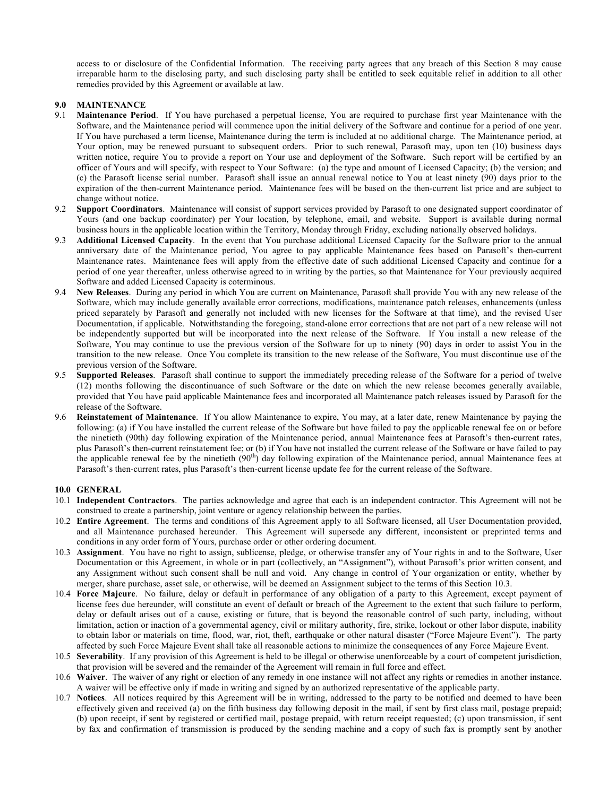access to or disclosure of the Confidential Information. The receiving party agrees that any breach of this Section 8 may cause irreparable harm to the disclosing party, and such disclosing party shall be entitled to seek equitable relief in addition to all other remedies provided by this Agreement or available at law.

# **9.0 MAINTENANCE**

- 9.1 **Maintenance Period**. If You have purchased a perpetual license, You are required to purchase first year Maintenance with the Software, and the Maintenance period will commence upon the initial delivery of the Software and continue for a period of one year. If You have purchased a term license, Maintenance during the term is included at no additional charge. The Maintenance period, at Your option, may be renewed pursuant to subsequent orders. Prior to such renewal, Parasoft may, upon ten (10) business days written notice, require You to provide a report on Your use and deployment of the Software. Such report will be certified by an officer of Yours and will specify, with respect to Your Software: (a) the type and amount of Licensed Capacity; (b) the version; and (c) the Parasoft license serial number. Parasoft shall issue an annual renewal notice to You at least ninety (90) days prior to the expiration of the then-current Maintenance period. Maintenance fees will be based on the then-current list price and are subject to change without notice.
- 9.2 **Support Coordinators**. Maintenance will consist of support services provided by Parasoft to one designated support coordinator of Yours (and one backup coordinator) per Your location, by telephone, email, and website. Support is available during normal business hours in the applicable location within the Territory, Monday through Friday, excluding nationally observed holidays.
- 9.3 **Additional Licensed Capacity**. In the event that You purchase additional Licensed Capacity for the Software prior to the annual anniversary date of the Maintenance period, You agree to pay applicable Maintenance fees based on Parasoft's then-current Maintenance rates. Maintenance fees will apply from the effective date of such additional Licensed Capacity and continue for a period of one year thereafter, unless otherwise agreed to in writing by the parties, so that Maintenance for Your previously acquired Software and added Licensed Capacity is coterminous.
- 9.4 **New Releases**. During any period in which You are current on Maintenance, Parasoft shall provide You with any new release of the Software, which may include generally available error corrections, modifications, maintenance patch releases, enhancements (unless priced separately by Parasoft and generally not included with new licenses for the Software at that time), and the revised User Documentation, if applicable. Notwithstanding the foregoing, stand-alone error corrections that are not part of a new release will not be independently supported but will be incorporated into the next release of the Software. If You install a new release of the Software, You may continue to use the previous version of the Software for up to ninety (90) days in order to assist You in the transition to the new release. Once You complete its transition to the new release of the Software, You must discontinue use of the previous version of the Software.
- 9.5 **Supported Releases**. Parasoft shall continue to support the immediately preceding release of the Software for a period of twelve (12) months following the discontinuance of such Software or the date on which the new release becomes generally available, provided that You have paid applicable Maintenance fees and incorporated all Maintenance patch releases issued by Parasoft for the release of the Software.
- 9.6 **Reinstatement of Maintenance**. If You allow Maintenance to expire, You may, at a later date, renew Maintenance by paying the following: (a) if You have installed the current release of the Software but have failed to pay the applicable renewal fee on or before the ninetieth (90th) day following expiration of the Maintenance period, annual Maintenance fees at Parasoft's then-current rates, plus Parasoft's then-current reinstatement fee; or (b) if You have not installed the current release of the Software or have failed to pay the applicable renewal fee by the ninetieth  $(90<sup>th</sup>)$  day following expiration of the Maintenance period, annual Maintenance fees at Parasoft's then-current rates, plus Parasoft's then-current license update fee for the current release of the Software.

### **10.0 GENERAL**

- 10.1 **Independent Contractors**. The parties acknowledge and agree that each is an independent contractor. This Agreement will not be construed to create a partnership, joint venture or agency relationship between the parties.
- 10.2 **Entire Agreement**.The terms and conditions of this Agreement apply to all Software licensed, all User Documentation provided, and all Maintenance purchased hereunder. This Agreement will supersede any different, inconsistent or preprinted terms and conditions in any order form of Yours, purchase order or other ordering document.
- 10.3 **Assignment**. You have no right to assign, sublicense, pledge, or otherwise transfer any of Your rights in and to the Software, User Documentation or this Agreement, in whole or in part (collectively, an "Assignment"), without Parasoft's prior written consent, and any Assignment without such consent shall be null and void. Any change in control of Your organization or entity, whether by merger, share purchase, asset sale, or otherwise, will be deemed an Assignment subject to the terms of this Section 10.3.
- 10.4 **Force Majeure**. No failure, delay or default in performance of any obligation of a party to this Agreement, except payment of license fees due hereunder, will constitute an event of default or breach of the Agreement to the extent that such failure to perform, delay or default arises out of a cause, existing or future, that is beyond the reasonable control of such party, including, without limitation, action or inaction of a governmental agency, civil or military authority, fire, strike, lockout or other labor dispute, inability to obtain labor or materials on time, flood, war, riot, theft, earthquake or other natural disaster ("Force Majeure Event"). The party affected by such Force Majeure Event shall take all reasonable actions to minimize the consequences of any Force Majeure Event.
- 10.5 **Severability**. If any provision of this Agreement is held to be illegal or otherwise unenforceable by a court of competent jurisdiction, that provision will be severed and the remainder of the Agreement will remain in full force and effect.
- 10.6 **Waiver**. The waiver of any right or election of any remedy in one instance will not affect any rights or remedies in another instance. A waiver will be effective only if made in writing and signed by an authorized representative of the applicable party.
- 10.7 **Notices**. All notices required by this Agreement will be in writing, addressed to the party to be notified and deemed to have been effectively given and received (a) on the fifth business day following deposit in the mail, if sent by first class mail, postage prepaid; (b) upon receipt, if sent by registered or certified mail, postage prepaid, with return receipt requested; (c) upon transmission, if sent by fax and confirmation of transmission is produced by the sending machine and a copy of such fax is promptly sent by another